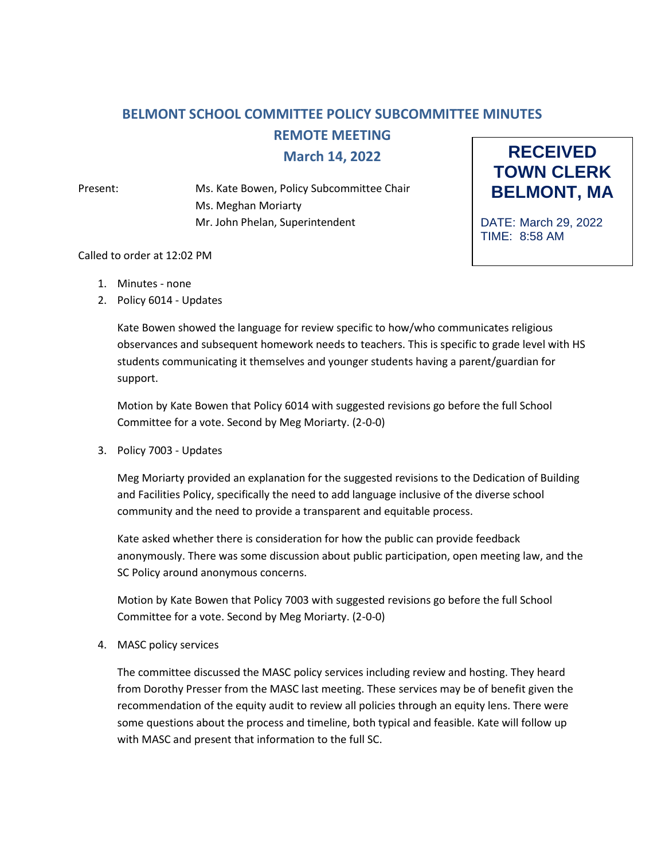## **BELMONT SCHOOL COMMITTEE POLICY SUBCOMMITTEE MINUTES REMOTE MEETING March 14, 2022**

Present: Ms. Kate Bowen, Policy Subcommittee Chair Ms. Meghan Moriarty Mr. John Phelan, Superintendent



DATE: March 29, 2022 TIME: 8:58 AM

## Called to order at 12:02 PM

- 1. Minutes none
- 2. Policy 6014 Updates

Kate Bowen showed the language for review specific to how/who communicates religious observances and subsequent homework needs to teachers. This is specific to grade level with HS students communicating it themselves and younger students having a parent/guardian for support.

Motion by Kate Bowen that Policy 6014 with suggested revisions go before the full School Committee for a vote. Second by Meg Moriarty. (2-0-0)

3. Policy 7003 - Updates

Meg Moriarty provided an explanation for the suggested revisions to the Dedication of Building and Facilities Policy, specifically the need to add language inclusive of the diverse school community and the need to provide a transparent and equitable process.

Kate asked whether there is consideration for how the public can provide feedback anonymously. There was some discussion about public participation, open meeting law, and the SC Policy around anonymous concerns.

Motion by Kate Bowen that Policy 7003 with suggested revisions go before the full School Committee for a vote. Second by Meg Moriarty. (2-0-0)

4. MASC policy services

The committee discussed the MASC policy services including review and hosting. They heard from Dorothy Presser from the MASC last meeting. These services may be of benefit given the recommendation of the equity audit to review all policies through an equity lens. There were some questions about the process and timeline, both typical and feasible. Kate will follow up with MASC and present that information to the full SC.